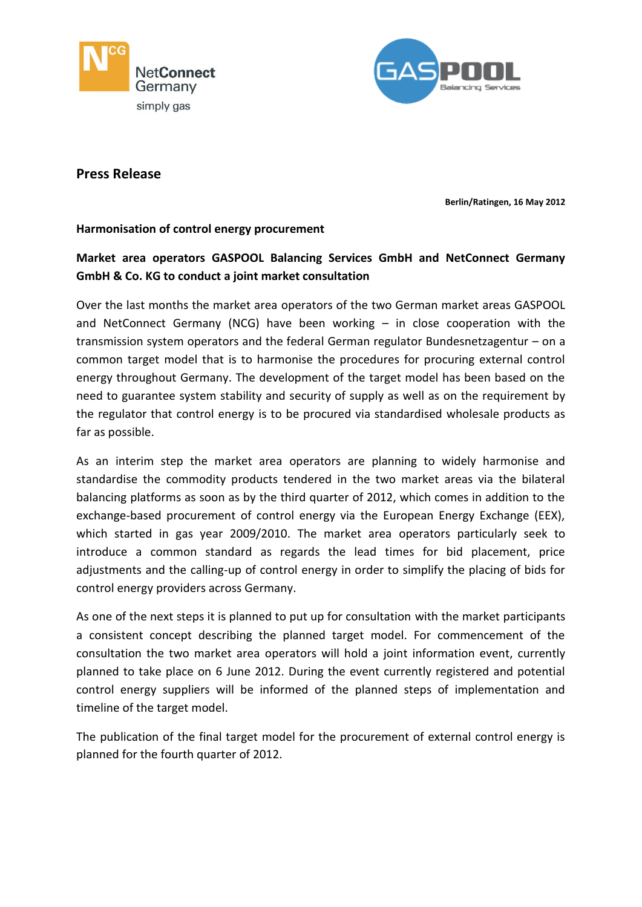



## **Press Release**

**Berlin/Ratingen, 16 May 2012**

### **Harmonisation of control energy procurement**

# **Market area operators GASPOOL Balancing Services GmbH and NetConnect Germany GmbH & Co. KG to conduct a joint market consultation**

Over the last months the market area operators of the two German market areas GASPOOL and NetConnect Germany (NCG) have been working – in close cooperation with the transmission system operators and the federal German regulator Bundesnetzagentur – on a common target model that is to harmonise the procedures for procuring external control energy throughout Germany. The development of the target model has been based on the need to guarantee system stability and security of supply as well as on the requirement by the regulator that control energy is to be procured via standardised wholesale products as far as possible.

As an interim step the market area operators are planning to widely harmonise and standardise the commodity products tendered in the two market areas via the bilateral balancing platforms as soon as by the third quarter of 2012, which comes in addition to the exchange-based procurement of control energy via the European Energy Exchange (EEX), which started in gas year 2009/2010. The market area operators particularly seek to introduce a common standard as regards the lead times for bid placement, price adjustments and the calling-up of control energy in order to simplify the placing of bids for control energy providers across Germany.

As one of the next steps it is planned to put up for consultation with the market participants a consistent concept describing the planned target model. For commencement of the consultation the two market area operators will hold a joint information event, currently planned to take place on 6 June 2012. During the event currently registered and potential control energy suppliers will be informed of the planned steps of implementation and timeline of the target model.

The publication of the final target model for the procurement of external control energy is planned for the fourth quarter of 2012.